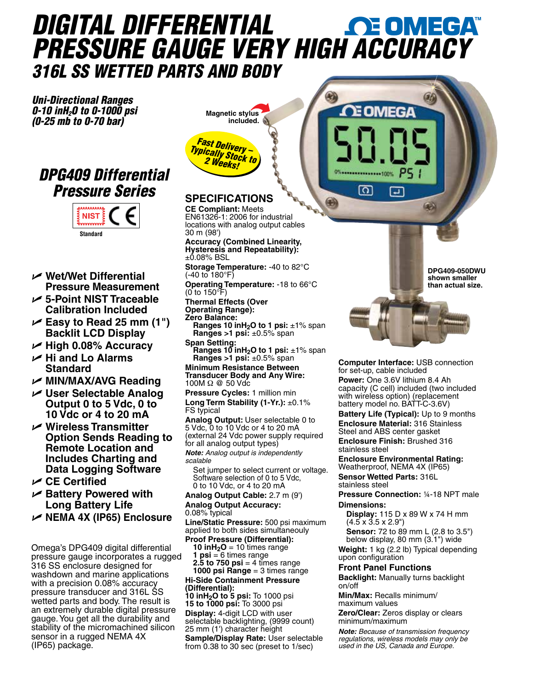# *DIGITAL DIFFERENTIAL PRESSURE GAUGE VERY HIG[H ACCURACY](www.omega.com) 316L SS WETTED PARTS AND BODY*

3

0

E OMEGA

F

റ

*Uni-Directional Ranges 0-10 inH2O to 0-1000 psi (0-25 mb to 0-70 bar)*

### *DPG409 Differential Pressure Series*



- U **Wet/Wet Differential Pressure Measurement**
- U **5-Point NIST Traceable Calibration Included**
- U **Easy to Read 25 mm (1") Backlit LCD Display**
- U **High 0.08% Accuracy**
- U **Hi and Lo Alarms Standard**

U **MIN/MAX/AVG Reading**

- U **User Selectable Analog Output 0 to 5 Vdc, 0 to 10 Vdc or 4 to 20 mA**
- U **Wireless Transmitter Option Sends Reading to Remote Location and Includes Charting and Data Logging Software**
- U **CE Certified**
- U **Battery Powered with Long Battery Life**
- U **NEMA 4X (IP65) Enclosure**

Omega's DPG409 digital differential pressure gauge incorporates a rugged 316 SS enclosure designed for washdown and marine applications with a precision 0.08% accuracy pressure transducer and 316L SS wetted parts and body. The result is an extremely durable digital pressure gauge. You get all the durability and stability of the micromachined silicon sensor in a rugged NEMA 4X (IP65) package.



## **SPECIFICATIONS CE Compliant:** Meets

EN61326-1: 2006 for industrial locations with analog output cables 30 m (98')

**Accuracy (Combined Linearity, Hysteresis and Repeatability):**  $\pm 0.08\%$  BSL

**Storage Temperature:** -40 to 82°C (-40 to 180°F)

**Operating Temperature:** -18 to 66°C (0 to 150°F)

**Thermal Effects (Over Operating Range): Zero Balance:** 

 **Ranges 10 inH2O to 1 psi:** ±1% span **Ranges >1 psi:** ±0.5% span **Span Setting:**

**Ranges 10 inH<sub>2</sub>O to 1 psi:** ±1% span **Ranges >1 psi:** ±0.5% span

**Minimum Resistance Between Transducer Body and Any Wire:** 100M Ω @ 50 Vdc

**Pressure Cycles:** 1 million min **Long Term Stability (1-Yr.):** ±0.1% FS typical

**Analog Output:** User selectable 0 to 5 Vdc, 0 to 10 Vdc or 4 to 20 mA (external 24 Vdc power supply required for all analog output types)

*Note: Analog output is independently scalable* 

 Set jumper to select current or voltage. Software selection of 0 to 5 Vdc, 0 to 10 Vdc, or 4 to 20 mA

**Analog Output Cable:** 2.7 m (9')

**Analog Output Accuracy:** 0.08% typical

**Line/Static Pressure:** 500 psi maximum applied to both sides simultaneouly

**Proof Pressure (Differential): 10 inH<sub>2</sub>O** = 10 times range **1 psi** = 6 times range **2.5 to 750 psi** = 4 times range **1000 psi Range** = 3 times range **Hi-Side Containment Pressure (Differential):**

**10 inH2O to 5 psi:** To 1000 psi **15 to 1000 psi:** To 3000 psi **Display:** 4-digit LCD with user selectable backlighting, (9999 count) 25 mm (1') character height **Sample/Display Rate:** User selectable from 0.38 to 30 sec (preset to 1/sec)

**DPG409-050DWU shown smaller than actual size.**



**Computer Interface:** USB connection for set-up, cable included

**Power:** One 3.6V lithium 8.4 Ah capacity (C cell) included (two included with wireless option) (replacement battery model no. BATT-C-3.6V)

**Battery Life (Typical):** Up to 9 months **Enclosure Material:** 316 Stainless Steel and ABS center gasket **Enclosure Finish:** Brushed 316

stainless steel **Enclosure Environmental Rating:**

Weatherproof, NEMA 4X (IP65) **Sensor Wetted Parts:** 316L stainless steel

**Pressure Connection:** ¼-18 NPT male **Dimensions:**

 **Display:** 115 D x 89 W x 74 H mm  $(4.5 \times 3.5 \times 2.9)$ 

**Sensor:** 72 to 89 mm L (2.8 to 3.5") below display, 80 mm (3.1") wide

**Weight:** 1 kg (2.2 lb) Typical depending upon configuration

#### **Front Panel Functions**

**Backlight:** Manually turns backlight on/off

**Min/Max:** Recalls minimum/ maximum values

**Zero/Clear:** Zeros display or clears minimum/maximum

*Note: Because of transmission frequency regulations, wireless models may only be used in the US, Canada and Europe.*